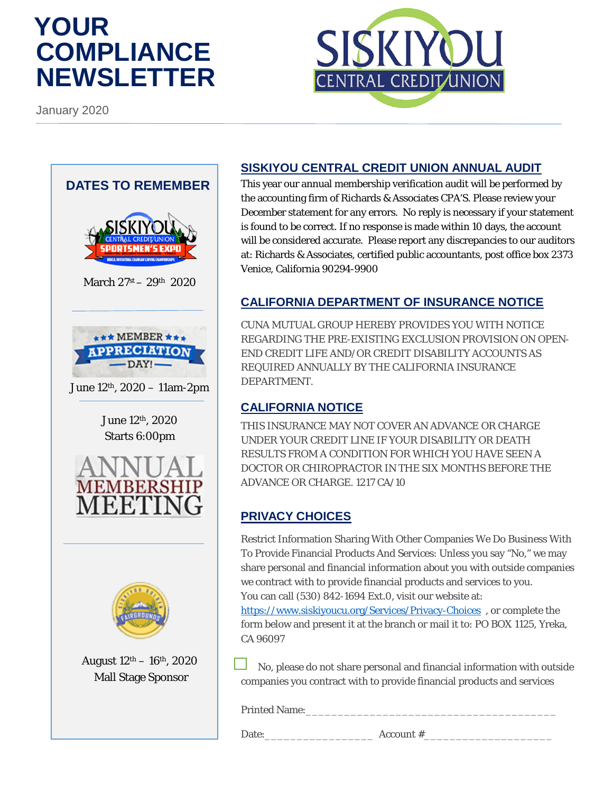# **YOUR COMPLIANCE NEWSLETTER**

January 2020





August  $12<sup>th</sup> - 16<sup>th</sup>$ , 2020 Mall Stage Sponsor

### **SISKIYOU CENTRAL CREDIT UNION ANNUAL AUDIT**

This year our annual membership verification audit will be performed by the accounting firm of Richards & Associates CPA'S. Please review your December statement for any errors. No reply is necessary if your statement is found to be correct. If no response is made within 10 days, the account will be considered accurate. Please report any discrepancies to our auditors at: Richards & Associates, certified public accountants, post office box 2373 Venice, California 90294-9900

# **CALIFORNIA DEPARTMENT OF INSURANCE NOTICE**

CUNA MUTUAL GROUP HEREBY PROVIDES YOU WITH NOTICE REGARDING THE PRE-EXISTING EXCLUSION PROVISION ON OPEN-END CREDIT LIFE AND/OR CREDIT DISABILITY ACCOUNTS AS REQUIRED ANNUALLY BY THE CALIFORNIA INSURANCE DEPARTMENT.

## **CALIFORNIA NOTICE**

THIS INSURANCE MAY NOT COVER AN ADVANCE OR CHARGE UNDER YOUR CREDIT LINE IF YOUR DISABILITY OR DEATH RESULTS FROM A CONDITION FOR WHICH YOU HAVE SEEN A DOCTOR OR CHIROPRACTOR IN THE SIX MONTHS BEFORE THE ADVANCE OR CHARGE. 1217 CA/10

# **PRIVACY CHOICES**

Restrict Information Sharing With Other Companies We Do Business With To Provide Financial Products And Services: Unless you say "No," we may share personal and financial information about you with outside companies we contract with to provide financial products and services to you. You can call (530) 842-1694 Ext.0, visit our website at:

<https://www.siskiyoucu.org/Services/Privacy-Choices> , or complete the form below and present it at the branch or mail it to: PO BOX 1125, Yreka, CA 96097

 No, please do not share personal and financial information with outside companies you contract with to provide financial products and services

Printed Name:

Date:  $\Delta$  Account #